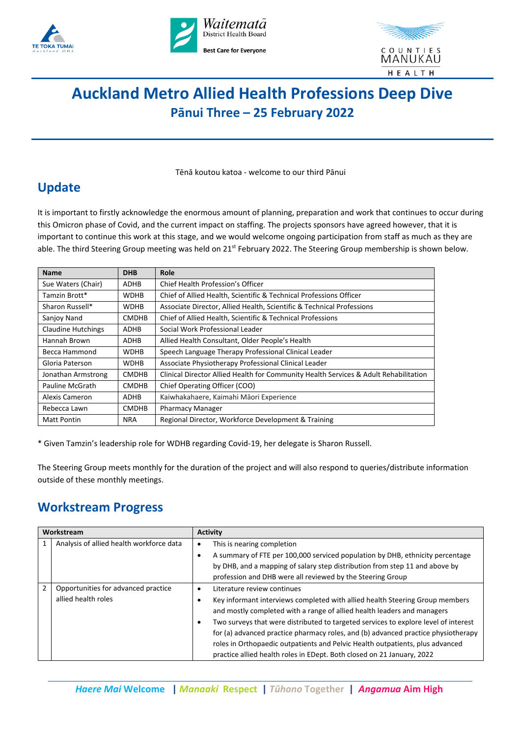





# **Auckland Metro Allied Health Professions Deep Dive Pānui Three – 25 February 2022**

Tēnā koutou katoa - welcome to our third Pānui

## Update

It is important to firstly acknowledge the enormous amount of planning, preparation and work that continues to occur during this Omicron phase of Covid, and the current impact on staffing. The projects sponsors have agreed however, that it is important to continue this work at this stage, and we would welcome ongoing participation from staff as much as they are able. The third Steering Group meeting was held on  $21^{st}$  February 2022. The Steering Group membership is shown below.

| <b>Name</b>               | <b>DHB</b>   | Role                                                                                 |
|---------------------------|--------------|--------------------------------------------------------------------------------------|
| Sue Waters (Chair)        | <b>ADHB</b>  | Chief Health Profession's Officer                                                    |
| Tamzin Brott*             | <b>WDHB</b>  | Chief of Allied Health, Scientific & Technical Professions Officer                   |
| Sharon Russell*           | <b>WDHB</b>  | Associate Director, Allied Health, Scientific & Technical Professions                |
| Sanjoy Nand               | <b>CMDHB</b> | Chief of Allied Health, Scientific & Technical Professions                           |
| <b>Claudine Hutchings</b> | ADHB         | Social Work Professional Leader                                                      |
| Hannah Brown              | <b>ADHB</b>  | Allied Health Consultant, Older People's Health                                      |
| Becca Hammond             | <b>WDHB</b>  | Speech Language Therapy Professional Clinical Leader                                 |
| Gloria Paterson           | <b>WDHB</b>  | Associate Physiotherapy Professional Clinical Leader                                 |
| Jonathan Armstrong        | <b>CMDHB</b> | Clinical Director Allied Health for Community Health Services & Adult Rehabilitation |
| <b>Pauline McGrath</b>    | <b>CMDHB</b> | Chief Operating Officer (COO)                                                        |
| Alexis Cameron            | <b>ADHB</b>  | Kaiwhakahaere, Kaimahi Māori Experience                                              |
| Rebecca Lawn              | <b>CMDHB</b> | <b>Pharmacy Manager</b>                                                              |
| <b>Matt Pontin</b>        | <b>NRA</b>   | Regional Director, Workforce Development & Training                                  |

\* Given Tamzin's leadership role for WDHB regarding Covid-19, her delegate is Sharon Russell.

The Steering Group meets monthly for the duration of the project and will also respond to queries/distribute information outside of these monthly meetings.

### **Workstream Progress**

| Workstream |                                          | <b>Activity</b>                                                                     |
|------------|------------------------------------------|-------------------------------------------------------------------------------------|
|            | Analysis of allied health workforce data | This is nearing completion<br>$\bullet$                                             |
|            |                                          | A summary of FTE per 100,000 serviced population by DHB, ethnicity percentage       |
|            |                                          | by DHB, and a mapping of salary step distribution from step 11 and above by         |
|            |                                          | profession and DHB were all reviewed by the Steering Group                          |
| 2          | Opportunities for advanced practice      | Literature review continues                                                         |
|            | allied health roles                      | Key informant interviews completed with allied health Steering Group members        |
|            |                                          | and mostly completed with a range of allied health leaders and managers             |
|            |                                          | Two surveys that were distributed to targeted services to explore level of interest |
|            |                                          | for (a) advanced practice pharmacy roles, and (b) advanced practice physiotherapy   |
|            |                                          | roles in Orthopaedic outpatients and Pelvic Health outpatients, plus advanced       |
|            |                                          | practice allied health roles in EDept. Both closed on 21 January, 2022              |